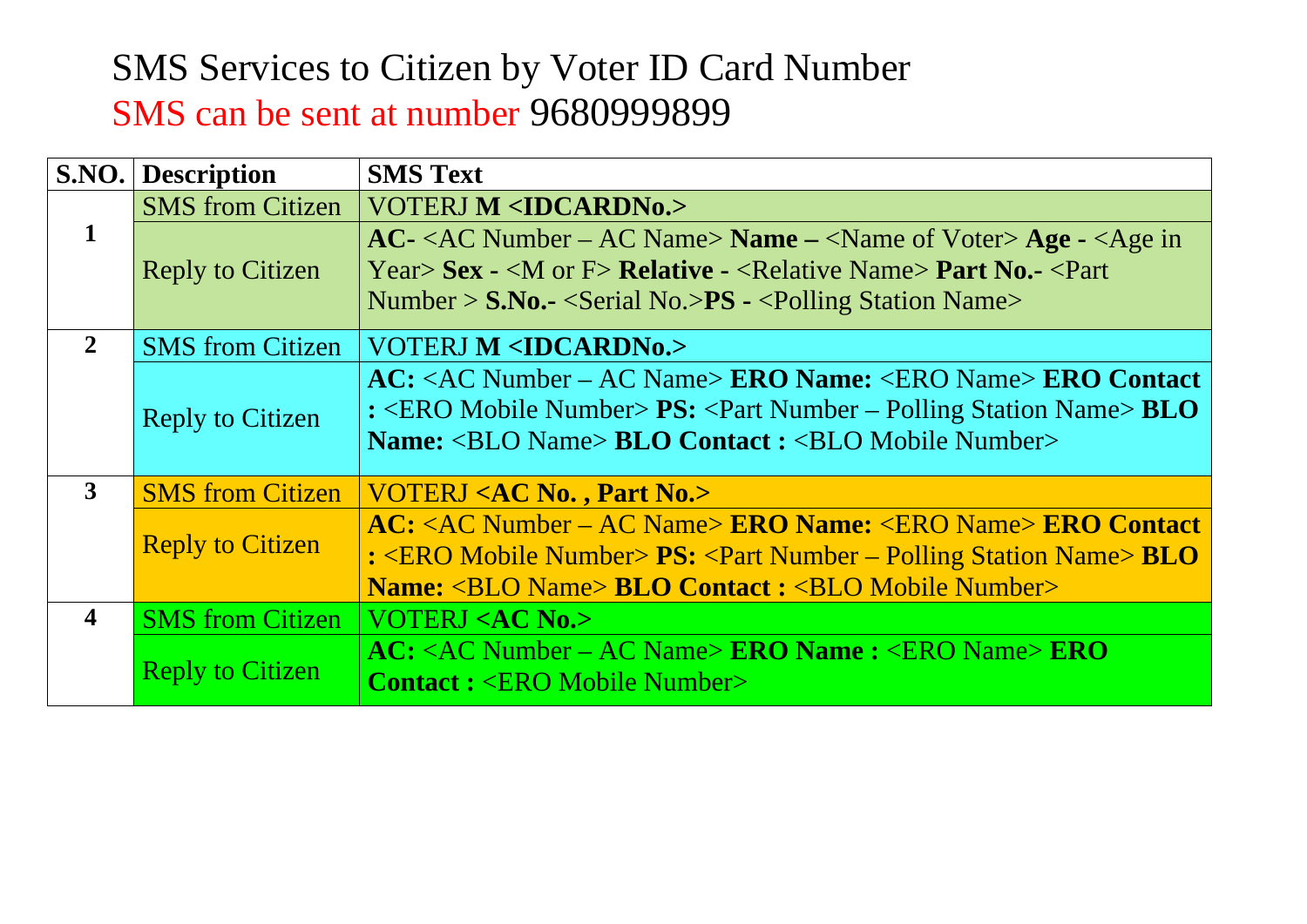## SMS Services to Citizen by Voter ID Card Number SMS can be sent at number 9680999899

|                  | <b>S.NO.</b> Description                                           | <b>SMS Text</b>                                                                                                                                                                                                                                                                                                   |  |
|------------------|--------------------------------------------------------------------|-------------------------------------------------------------------------------------------------------------------------------------------------------------------------------------------------------------------------------------------------------------------------------------------------------------------|--|
|                  | <b>SMS</b> from Citizen                                            | <b>VOTERJ M <idcardn0.></idcardn0.></b>                                                                                                                                                                                                                                                                           |  |
| 1                | Reply to Citizen                                                   | $AC -  Number – AC Name> Name –  Age - Year> Sex \text{-}  Relative \text{-}  Part No. \text{-} Number > S.No.- \leSerial No.\gePS - \lePolling Station Name>$                                                                                                                                                    |  |
| $\overline{2}$   | <b>VOTERJ M <idcardn0.></idcardn0.></b><br><b>SMS</b> from Citizen |                                                                                                                                                                                                                                                                                                                   |  |
|                  | <b>Reply to Citizen</b>                                            | $AC: < AC$ Number – AC Name> <b>ERO Name:</b> <ero name=""> <b>ERO Contact</b><br/>: <ero mobile="" number=""> <math>PS</math>: <part name="" number="" polling="" station="" –=""> <math>BLO</math><br/><b>Name:</b> <blo name=""> <b>BLO Contact : <blo mobile="" number=""></blo></b></blo></part></ero></ero> |  |
| 3                | <b>SMS</b> from Citizen                                            | VOTERJ <ac no.="" no.,="" part=""></ac>                                                                                                                                                                                                                                                                           |  |
|                  | <b>Reply to Citizen</b>                                            | <b>AC:</b> <ac ac="" name="" number="" –=""> <b>ERO Name:</b> <ero name=""> <b>ERO Contact</b><br/><math>: ERO Mobile Number &gt; PS: Part Number – Polling Station Name &gt; BLO</math><br/><b>Name:</b> <blo name=""> <b>BLO Contact : <blo mobile="" number=""></blo></b></blo></ero></ac>                     |  |
| $\boldsymbol{4}$ | <b>SMS</b> from Citizen                                            | <b>VOTERJ <ac no.=""></ac></b>                                                                                                                                                                                                                                                                                    |  |
|                  | <b>Reply to Citizen</b>                                            | $AC:  Number – AC Name> ERO Name :  EROContact: $                                                                                                                                                                                                                                                                 |  |